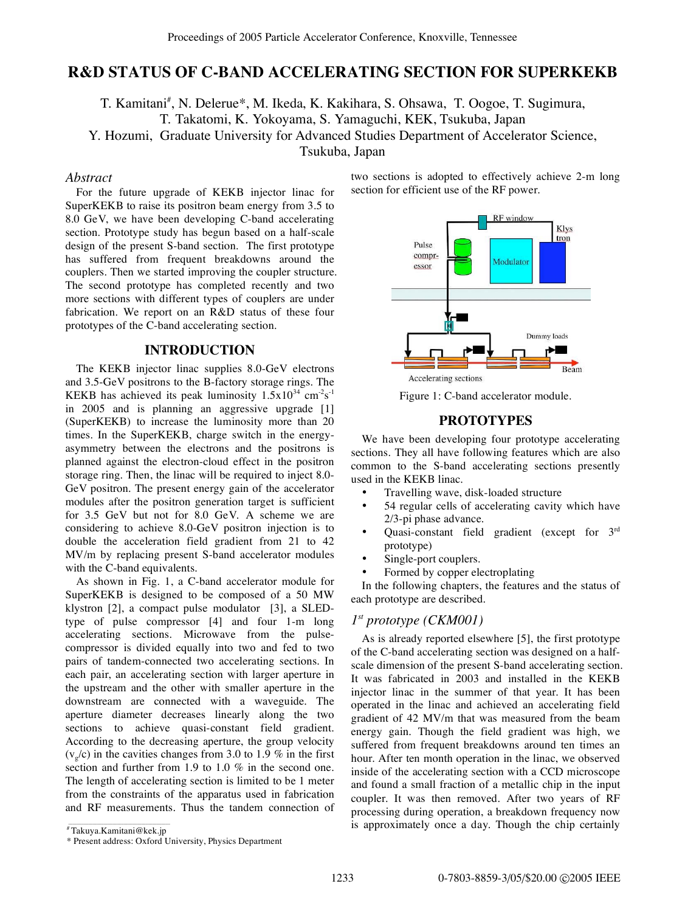# **R&D STATUS OF C-BAND ACCELERATING SECTION FOR SUPERKEKB**

T. Kamitani<sup>#</sup>, N. Delerue\*, M. Ikeda, K. Kakihara, S. Ohsawa, T. Oogoe, T. Sugimura, T. Takatomi, K. Yokoyama, S. Yamaguchi, KEK, Tsukuba, Japan Y. Hozumi, Graduate University for Advanced Studies Department of Accelerator Science, Tsukuba, Japan

### *Abstract*

For the future upgrade of KEKB injector linac for SuperKEKB to raise its positron beam energy from 3.5 to 8.0 GeV, we have been developing C-band accelerating section. Prototype study has begun based on a half-scale design of the present S-band section. The first prototype has suffered from frequent breakdowns around the couplers. Then we started improving the coupler structure. The second prototype has completed recently and two more sections with different types of couplers are under fabrication. We report on an R&D status of these four prototypes of the C-band accelerating section.

## **INTRODUCTION**

The KEKB injector linac supplies 8.0-GeV electrons and 3.5-GeV positrons to the B-factory storage rings. The KEKB has achieved its peak luminosity  $1.5x10^{34}$  cm<sup>-2</sup>s<sup>-1</sup> in 2005 and is planning an aggressive upgrade [1] (SuperKEKB) to increase the luminosity more than 20 times. In the SuperKEKB, charge switch in the energyasymmetry between the electrons and the positrons is planned against the electron-cloud effect in the positron storage ring. Then, the linac will be required to inject 8.0- GeV positron. The present energy gain of the accelerator modules after the positron generation target is sufficient for 3.5 GeV but not for 8.0 GeV. A scheme we are considering to achieve 8.0-GeV positron injection is to double the acceleration field gradient from 21 to 42 MV/m by replacing present S-band accelerator modules with the C-band equivalents.

As shown in Fig. 1, a C-band accelerator module for SuperKEKB is designed to be composed of a 50 MW klystron [2], a compact pulse modulator [3], a SLEDtype of pulse compressor [4] and four 1-m long accelerating sections. Microwave from the pulsecompressor is divided equally into two and fed to two pairs of tandem-connected two accelerating sections. In each pair, an accelerating section with larger aperture in the upstream and the other with smaller aperture in the downstream are connected with a waveguide. The aperture diameter decreases linearly along the two sections to achieve quasi-constant field gradient. According to the decreasing aperture, the group velocity  $(v_g/c)$  in the cavities changes from 3.0 to 1.9 % in the first section and further from 1.9 to 1.0 % in the second one. The length of accelerating section is limited to be 1 meter from the constraints of the apparatus used in fabrication and RF measurements. Thus the tandem connection of two sections is adopted to effectively achieve 2-m long section for efficient use of the RF power.



Figure 1: C-band accelerator module.

### **PROTOTYPES**

We have been developing four prototype accelerating sections. They all have following features which are also common to the S-band accelerating sections presently used in the KEKB linac.

- Travelling wave, disk-loaded structure
- 54 regular cells of accelerating cavity which have 2/3-pi phase advance.
- Quasi-constant field gradient (except for  $3<sup>rd</sup>$ prototype)
- Single-port couplers.
- Formed by copper electroplating

In the following chapters, the features and the status of each prototype are described.

## *1st prototype (CKM001)*

As is already reported elsewhere [5], the first prototype of the C-band accelerating section was designed on a halfscale dimension of the present S-band accelerating section. It was fabricated in 2003 and installed in the KEKB injector linac in the summer of that year. It has been operated in the linac and achieved an accelerating field gradient of 42 MV/m that was measured from the beam energy gain. Though the field gradient was high, we suffered from frequent breakdowns around ten times an hour. After ten month operation in the linac, we observed inside of the accelerating section with a CCD microscope and found a small fraction of a metallic chip in the input coupler. It was then removed. After two years of RF processing during operation, a breakdown frequency now is approximately once a day. Though the chip certainly

<sup>#</sup> Takuya.Kamitani@kek.jp

<sup>\*</sup> Present address: Oxford University, Physics Department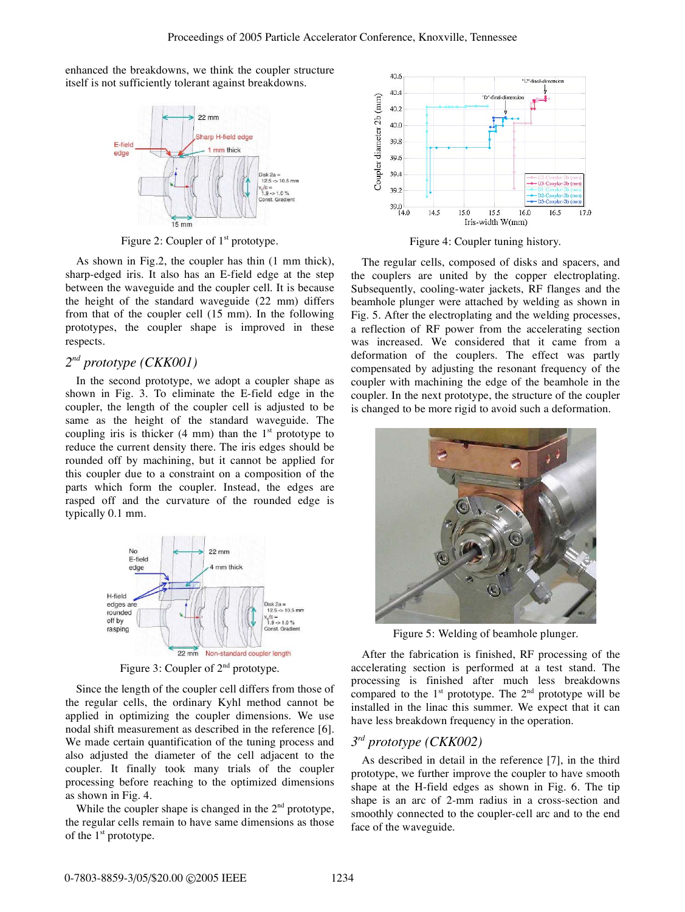enhanced the breakdowns, we think the coupler structure itself is not sufficiently tolerant against breakdowns.



Figure 2: Coupler of  $1<sup>st</sup>$  prototype.

As shown in Fig.2, the coupler has thin (1 mm thick), sharp-edged iris. It also has an E-field edge at the step between the waveguide and the coupler cell. It is because the height of the standard waveguide (22 mm) differs from that of the coupler cell (15 mm). In the following prototypes, the coupler shape is improved in these respects.

### *2nd prototype (CKK001)*

In the second prototype, we adopt a coupler shape as shown in Fig. 3. To eliminate the E-field edge in the coupler, the length of the coupler cell is adjusted to be same as the height of the standard waveguide. The coupling iris is thicker  $(4 \text{ mm})$  than the 1<sup>st</sup> prototype to reduce the current density there. The iris edges should be rounded off by machining, but it cannot be applied for this coupler due to a constraint on a composition of the parts which form the coupler. Instead, the edges are rasped off and the curvature of the rounded edge is typically 0.1 mm.



Figure 3: Coupler of  $2<sup>nd</sup>$  prototype.

Since the length of the coupler cell differs from those of the regular cells, the ordinary Kyhl method cannot be applied in optimizing the coupler dimensions. We use nodal shift measurement as described in the reference [6]. We made certain quantification of the tuning process and also adjusted the diameter of the cell adjacent to the coupler. It finally took many trials of the coupler processing before reaching to the optimized dimensions as shown in Fig. 4.

While the coupler shape is changed in the  $2<sup>nd</sup>$  prototype, the regular cells remain to have same dimensions as those of the  $1<sup>st</sup>$  prototype.



Figure 4: Coupler tuning history.

The regular cells, composed of disks and spacers, and the couplers are united by the copper electroplating. Subsequently, cooling-water jackets, RF flanges and the beamhole plunger were attached by welding as shown in Fig. 5. After the electroplating and the welding processes, a reflection of RF power from the accelerating section was increased. We considered that it came from a deformation of the couplers. The effect was partly compensated by adjusting the resonant frequency of the coupler with machining the edge of the beamhole in the coupler. In the next prototype, the structure of the coupler is changed to be more rigid to avoid such a deformation.



Figure 5: Welding of beamhole plunger.

After the fabrication is finished, RF processing of the accelerating section is performed at a test stand. The processing is finished after much less breakdowns compared to the  $1<sup>st</sup>$  prototype. The  $2<sup>nd</sup>$  prototype will be installed in the linac this summer. We expect that it can have less breakdown frequency in the operation.

# *3rd prototype (CKK002)*

As described in detail in the reference [7], in the third prototype, we further improve the coupler to have smooth shape at the H-field edges as shown in Fig. 6. The tip shape is an arc of 2-mm radius in a cross-section and smoothly connected to the coupler-cell arc and to the end face of the waveguide.